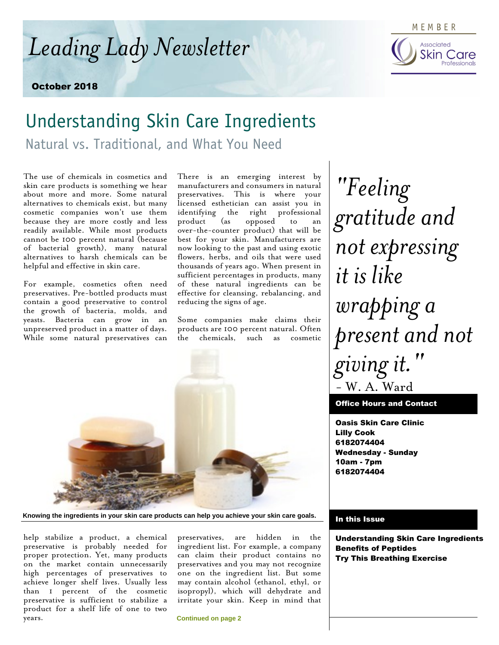*Leading Lady Newsletter*

October 2018

### MEMBER Associated



## Understanding Skin Care Ingredients

Natural vs. Traditional, and What You Need

The use of chemicals in cosmetics and skin care products is something we hear about more and more. Some natural alternatives to chemicals exist, but many cosmetic companies won't use them because they are more costly and less readily available. While most products cannot be 100 percent natural (because of bacterial growth), many natural alternatives to harsh chemicals can be helpful and effective in skin care.

For example, cosmetics often need preservatives. Pre-bottled products must contain a good preservative to control the growth of bacteria, molds, and yeasts. Bacteria can grow in an unpreserved product in a matter of days. While some natural preservatives can

There is an emerging interest by manufacturers and consumers in natural preservatives. This is where your licensed esthetician can assist you in identifying the right professional product (as opposed to an over-the-counter product) that will be best for your skin. Manufacturers are now looking to the past and using exotic flowers, herbs, and oils that were used thousands of years ago. When present in sufficient percentages in products, many of these natural ingredients can be effective for cleansing, rebalancing, and reducing the signs of age.

Some companies make claims their products are 100 percent natural. Often the chemicals, such as cosmetic



**Knowing the ingredients in your skin care products can help you achieve your skin care goals.**

help stabilize a product, a chemical preservative is probably needed for proper protection. Yet, many products on the market contain unnecessarily high percentages of preservatives to achieve longer shelf lives. Usually less than 1 percent of the cosmetic preservative is sufficient to stabilize a product for a shelf life of one to two years.

preservatives, are hidden in the ingredient list. For example, a company can claim their product contains no preservatives and you may not recognize one on the ingredient list. But some may contain alcohol (ethanol, ethyl, or isopropyl), which will dehydrate and irritate your skin. Keep in mind that

**Continued on page 2**

*"Feeling gratitude and not expressing it is like wrapping a present and not giving it."* - W. A. Ward

Office Hours and Contact

Oasis Skin Care Clinic Lilly Cook 6182074404 Wednesday - Sunday 10am - 7pm 6182074404

#### In this Issue

Understanding Skin Care Ingredients Benefits of Peptides Try This Breathing Exercise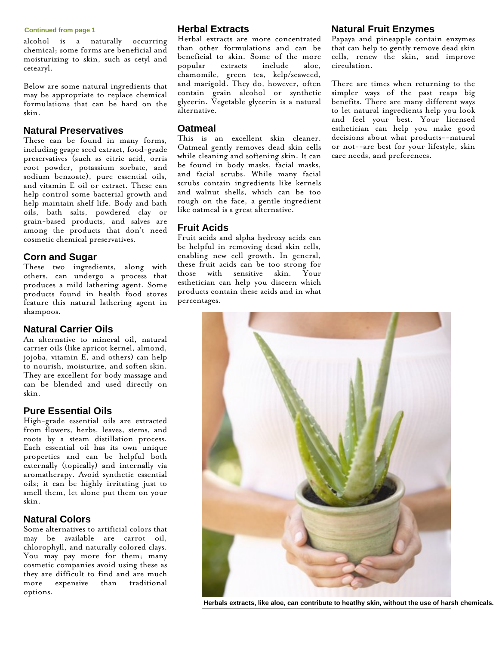#### **Continued from page 1**

alcohol is a naturally occurring chemical; some forms are beneficial and moisturizing to skin, such as cetyl and cetearyl.

Below are some natural ingredients that may be appropriate to replace chemical formulations that can be hard on the skin.

#### **Natural Preservatives**

These can be found in many forms, including grape seed extract, food-grade preservatives (such as citric acid, orris root powder, potassium sorbate, and sodium benzoate), pure essential oils, and vitamin E oil or extract. These can help control some bacterial growth and help maintain shelf life. Body and bath oils, bath salts, powdered clay or grain-based products, and salves are among the products that don't need cosmetic chemical preservatives.

#### **Corn and Sugar**

These two ingredients, along with others, can undergo a process that produces a mild lathering agent. Some products found in health food stores feature this natural lathering agent in shampoos.

#### **Natural Carrier Oils**

An alternative to mineral oil, natural carrier oils (like apricot kernel, almond, jojoba, vitamin E, and others) can help to nourish, moisturize, and soften skin. They are excellent for body massage and can be blended and used directly on skin.

#### **Pure Essential Oils**

High-grade essential oils are extracted from flowers, herbs, leaves, stems, and roots by a steam distillation process. Each essential oil has its own unique properties and can be helpful both externally (topically) and internally via aromatherapy. Avoid synthetic essential oils; it can be highly irritating just to smell them, let alone put them on your skin.

#### **Natural Colors**

Some alternatives to artificial colors that may be available are carrot oil, chlorophyll, and naturally colored clays. You may pay more for them; many cosmetic companies avoid using these as they are difficult to find and are much more expensive than traditional options.

#### **Herbal Extracts**

Herbal extracts are more concentrated than other formulations and can be beneficial to skin. Some of the more<br>popular extracts include aloe, extracts include aloe, chamomile, green tea, kelp/seaweed, and marigold. They do, however, often contain grain alcohol or synthetic glycerin. Vegetable glycerin is a natural alternative.

#### **Oatmeal**

This is an excellent skin cleaner. Oatmeal gently removes dead skin cells while cleaning and softening skin. It can be found in body masks, facial masks, and facial scrubs. While many facial scrubs contain ingredients like kernels and walnut shells, which can be too rough on the face, a gentle ingredient like oatmeal is a great alternative.

#### **Fruit Acids**

Fruit acids and alpha hydroxy acids can be helpful in removing dead skin cells, enabling new cell growth. In general, these fruit acids can be too strong for those with sensitive skin. Your esthetician can help you discern which products contain these acids and in what percentages.

#### **Natural Fruit Enzymes**

Papaya and pineapple contain enzymes that can help to gently remove dead skin cells, renew the skin, and improve circulation.

There are times when returning to the simpler ways of the past reaps big benefits. There are many different ways to let natural ingredients help you look and feel your best. Your licensed esthetician can help you make good decisions about what products--natural or not--are best for your lifestyle, skin care needs, and preferences.



**Herbals extracts, like aloe, can contribute to heatlhy skin, without the use of harsh chemicals.**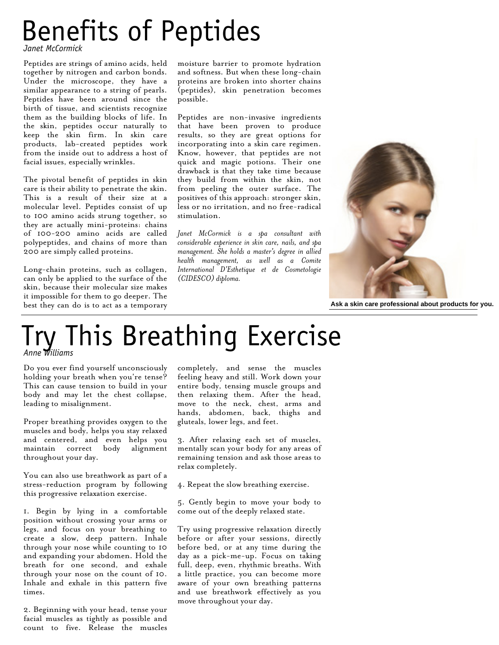# Benefits of Peptides

*Janet McCormick*

Peptides are strings of amino acids, held together by nitrogen and carbon bonds. Under the microscope, they have a similar appearance to a string of pearls. Peptides have been around since the birth of tissue, and scientists recognize them as the building blocks of life. In the skin, peptides occur naturally to keep the skin firm. In skin care products, lab-created peptides work from the inside out to address a host of facial issues, especially wrinkles.

The pivotal benefit of peptides in skin care is their ability to penetrate the skin. This is a result of their size at a molecular level. Peptides consist of up to 100 amino acids strung together, so they are actually mini-proteins: chains of 100-200 amino acids are called polypeptides, and chains of more than 200 are simply called proteins.

Long-chain proteins, such as collagen, can only be applied to the surface of the skin, because their molecular size makes it impossible for them to go deeper. The best they can do is to act as a temporary

moisture barrier to promote hydration and softness. But when these long-chain proteins are broken into shorter chains (peptides), skin penetration becomes possible.

Peptides are non-invasive ingredients that have been proven to produce results, so they are great options for incorporating into a skin care regimen. Know, however, that peptides are not quick and magic potions. Their one drawback is that they take time because they build from within the skin, not from peeling the outer surface. The positives of this approach: stronger skin, less or no irritation, and no free-radical stimulation.

*Janet McCormick is a spa consultant with considerable experience in skin care, nails, and spa management. She holds a master's degree in allied health management, as well as a Comite International D'Esthetique et de Cosmetologie (CIDESCO) diploma.*



**Ask a skin care professional about products for you.**

## Try This Breathing Exercise *Anne Williams*

Do you ever find yourself unconsciously holding your breath when you're tense? This can cause tension to build in your body and may let the chest collapse, leading to misalignment.

Proper breathing provides oxygen to the muscles and body, helps you stay relaxed and centered, and even helps you maintain correct body alignment throughout your day.

You can also use breathwork as part of a stress-reduction program by following this progressive relaxation exercise.

1. Begin by lying in a comfortable position without crossing your arms or legs, and focus on your breathing to create a slow, deep pattern. Inhale through your nose while counting to 10 and expanding your abdomen. Hold the breath for one second, and exhale through your nose on the count of 10. Inhale and exhale in this pattern five times.

2. Beginning with your head, tense your facial muscles as tightly as possible and count to five. Release the muscles

completely, and sense the muscles feeling heavy and still. Work down your entire body, tensing muscle groups and then relaxing them. After the head, move to the neck, chest, arms and hands, abdomen, back, thighs and gluteals, lower legs, and feet.

3. After relaxing each set of muscles, mentally scan your body for any areas of remaining tension and ask those areas to relax completely.

- 4. Repeat the slow breathing exercise.
- 5. Gently begin to move your body to come out of the deeply relaxed state.

Try using progressive relaxation directly before or after your sessions, directly before bed, or at any time during the day as a pick-me-up. Focus on taking full, deep, even, rhythmic breaths. With a little practice, you can become more aware of your own breathing patterns and use breathwork effectively as you move throughout your day.